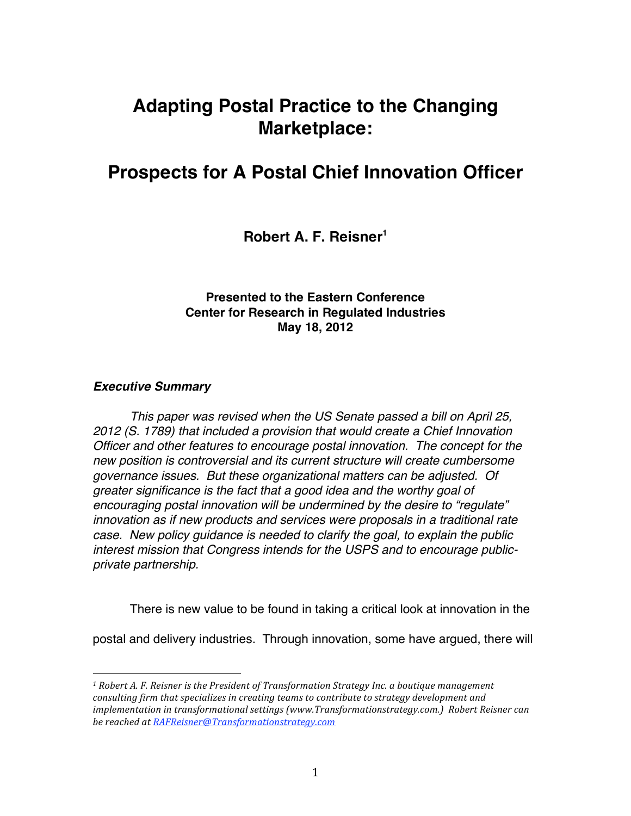# **Adapting Postal Practice to the Changing Marketplace:**

## **Prospects for A Postal Chief Innovation Officer**

**Robert A. F. Reisner1**

## **Presented to the Eastern Conference Center for Research in Regulated Industries May 18, 2012**

## *Executive Summary*

*This paper was revised when the US Senate passed a bill on April 25, 2012 (S. 1789) that included a provision that would create a Chief Innovation Officer and other features to encourage postal innovation. The concept for the new position is controversial and its current structure will create cumbersome governance issues. But these organizational matters can be adjusted. Of greater significance is the fact that a good idea and the worthy goal of encouraging postal innovation will be undermined by the desire to "regulate" innovation as if new products and services were proposals in a traditional rate case. New policy guidance is needed to clarify the goal, to explain the public interest mission that Congress intends for the USPS and to encourage publicprivate partnership.*

There is new value to be found in taking a critical look at innovation in the

postal and delivery industries. Through innovation, some have argued, there will

<sup>&</sup>lt;sup>1</sup> Robert A. F. Reisner is the President of Transformation Strategy Inc. a boutique management consulting firm that specializes in creating teams to contribute to strategy development and implementation in transformational settinas (www.Transformationstrateav.com.) Robert Reisner can *be
reached
at
RAFReisner@Transformationstrategy.com*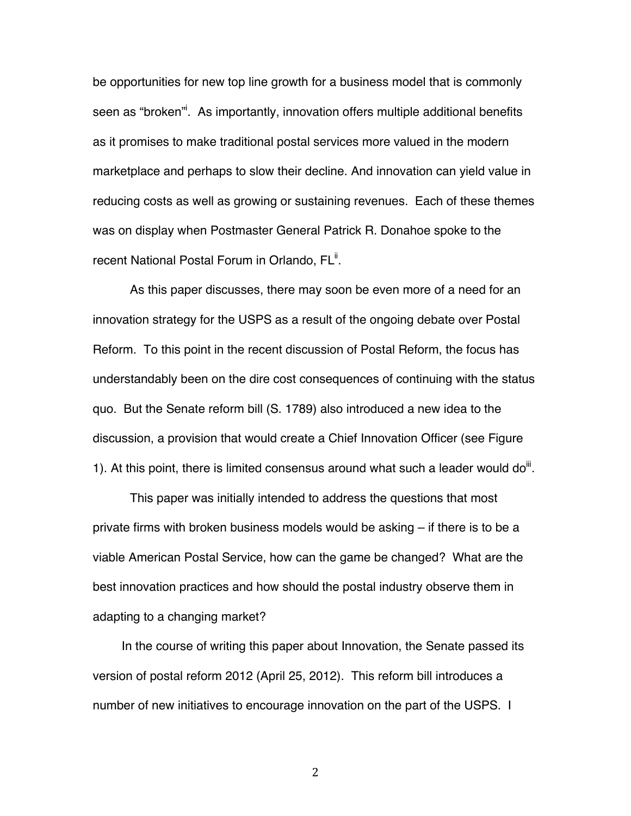be opportunities for new top line growth for a business model that is commonly seen as "broken"<sup>i</sup>. As importantly, innovation offers multiple additional benefits as it promises to make traditional postal services more valued in the modern marketplace and perhaps to slow their decline. And innovation can yield value in reducing costs as well as growing or sustaining revenues. Each of these themes was on display when Postmaster General Patrick R. Donahoe spoke to the recent National Postal Forum in Orlando, FL<sup>ii</sup>.

As this paper discusses, there may soon be even more of a need for an innovation strategy for the USPS as a result of the ongoing debate over Postal Reform. To this point in the recent discussion of Postal Reform, the focus has understandably been on the dire cost consequences of continuing with the status quo. But the Senate reform bill (S. 1789) also introduced a new idea to the discussion, a provision that would create a Chief Innovation Officer (see Figure 1). At this point, there is limited consensus around what such a leader would do<sup>iii</sup>.

This paper was initially intended to address the questions that most private firms with broken business models would be asking – if there is to be a viable American Postal Service, how can the game be changed? What are the best innovation practices and how should the postal industry observe them in adapting to a changing market?

In the course of writing this paper about Innovation, the Senate passed its version of postal reform 2012 (April 25, 2012). This reform bill introduces a number of new initiatives to encourage innovation on the part of the USPS. I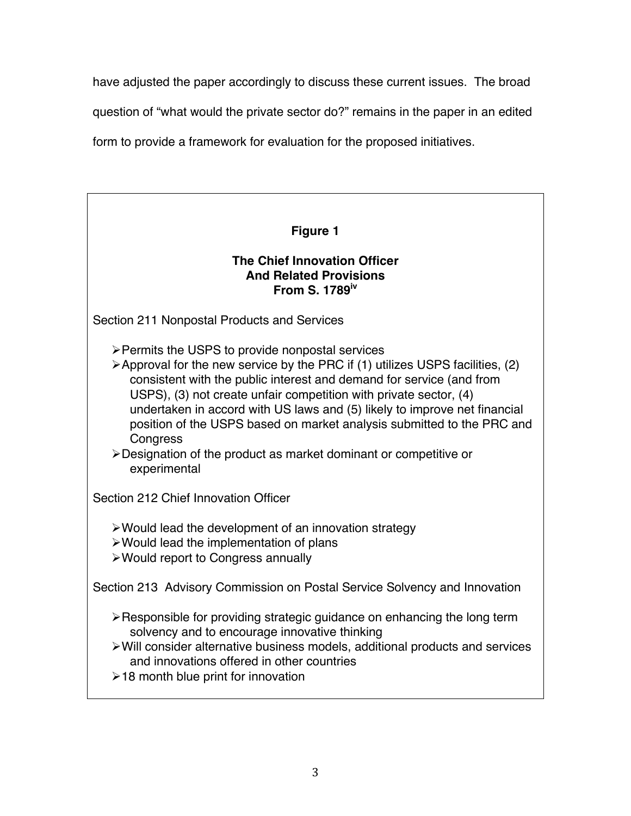have adjusted the paper accordingly to discuss these current issues. The broad

question of "what would the private sector do?" remains in the paper in an edited

form to provide a framework for evaluation for the proposed initiatives.

# **Figure 1 The Chief Innovation Officer And Related Provisions From S. 1789iv** Section 211 Nonpostal Products and Services Permits the USPS to provide nonpostal services  $\triangleright$  Approval for the new service by the PRC if (1) utilizes USPS facilities, (2) consistent with the public interest and demand for service (and from USPS), (3) not create unfair competition with private sector, (4) undertaken in accord with US laws and (5) likely to improve net financial position of the USPS based on market analysis submitted to the PRC and **Congress** Designation of the product as market dominant or competitive or experimental Section 212 Chief Innovation Officer Would lead the development of an innovation strategy Would lead the implementation of plans Would report to Congress annually Section 213 Advisory Commission on Postal Service Solvency and Innovation  $\triangleright$  Responsible for providing strategic guidance on enhancing the long term solvency and to encourage innovative thinking Will consider alternative business models, additional products and services and innovations offered in other countries  $\geq 18$  month blue print for innovation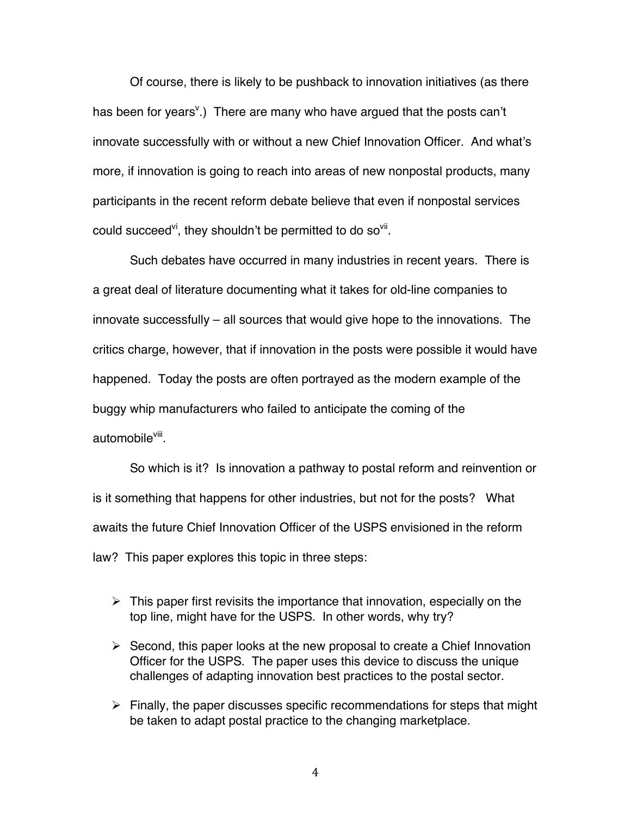Of course, there is likely to be pushback to innovation initiatives (as there has been for years<sup>v</sup>.) There are many who have argued that the posts can't innovate successfully with or without a new Chief Innovation Officer. And what's more, if innovation is going to reach into areas of new nonpostal products, many participants in the recent reform debate believe that even if nonpostal services could succeed<sup>vi</sup>, they shouldn't be permitted to do so<sup>vii</sup>.

Such debates have occurred in many industries in recent years. There is a great deal of literature documenting what it takes for old-line companies to innovate successfully – all sources that would give hope to the innovations. The critics charge, however, that if innovation in the posts were possible it would have happened. Today the posts are often portrayed as the modern example of the buggy whip manufacturers who failed to anticipate the coming of the automobile<sup>viii</sup>.

So which is it? Is innovation a pathway to postal reform and reinvention or is it something that happens for other industries, but not for the posts? What awaits the future Chief Innovation Officer of the USPS envisioned in the reform law? This paper explores this topic in three steps:

- $\triangleright$  This paper first revisits the importance that innovation, especially on the top line, might have for the USPS. In other words, why try?
- $\triangleright$  Second, this paper looks at the new proposal to create a Chief Innovation Officer for the USPS. The paper uses this device to discuss the unique challenges of adapting innovation best practices to the postal sector.
- $\triangleright$  Finally, the paper discusses specific recommendations for steps that might be taken to adapt postal practice to the changing marketplace.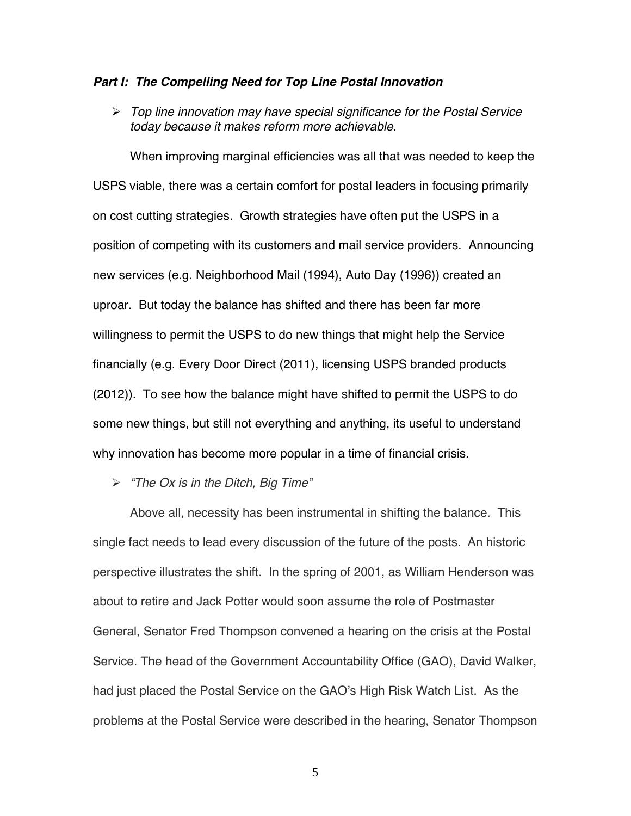#### *Part I: The Compelling Need for Top Line Postal Innovation*

 *Top line innovation may have special significance for the Postal Service today because it makes reform more achievable.*

When improving marginal efficiencies was all that was needed to keep the USPS viable, there was a certain comfort for postal leaders in focusing primarily on cost cutting strategies. Growth strategies have often put the USPS in a position of competing with its customers and mail service providers. Announcing new services (e.g. Neighborhood Mail (1994), Auto Day (1996)) created an uproar. But today the balance has shifted and there has been far more willingness to permit the USPS to do new things that might help the Service financially (e.g. Every Door Direct (2011), licensing USPS branded products (2012)). To see how the balance might have shifted to permit the USPS to do some new things, but still not everything and anything, its useful to understand why innovation has become more popular in a time of financial crisis.

*"The Ox is in the Ditch, Big Time"*

Above all, necessity has been instrumental in shifting the balance. This single fact needs to lead every discussion of the future of the posts. An historic perspective illustrates the shift. In the spring of 2001, as William Henderson was about to retire and Jack Potter would soon assume the role of Postmaster General, Senator Fred Thompson convened a hearing on the crisis at the Postal Service. The head of the Government Accountability Office (GAO), David Walker, had just placed the Postal Service on the GAO's High Risk Watch List. As the problems at the Postal Service were described in the hearing, Senator Thompson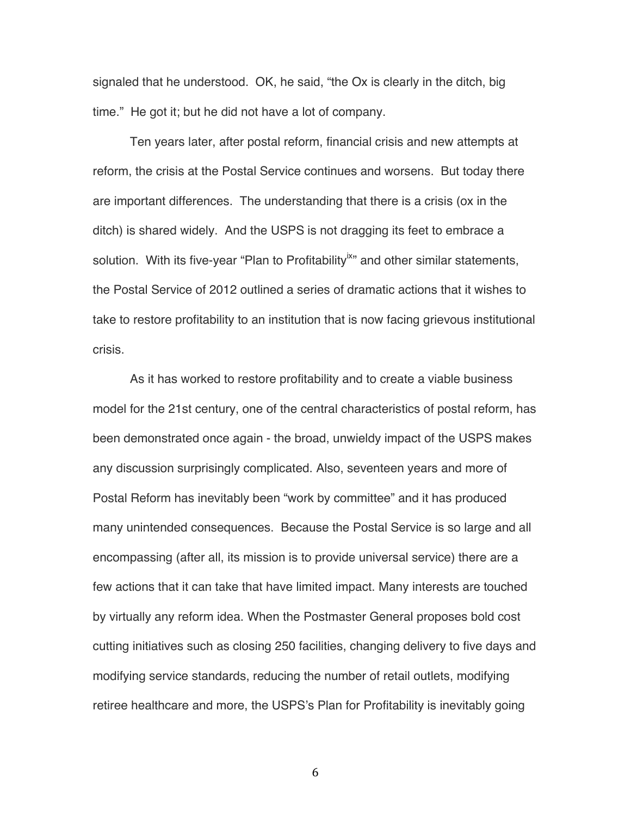signaled that he understood. OK, he said, "the Ox is clearly in the ditch, big time." He got it; but he did not have a lot of company.

Ten years later, after postal reform, financial crisis and new attempts at reform, the crisis at the Postal Service continues and worsens. But today there are important differences. The understanding that there is a crisis (ox in the ditch) is shared widely. And the USPS is not dragging its feet to embrace a solution. With its five-year "Plan to Profitability" and other similar statements, the Postal Service of 2012 outlined a series of dramatic actions that it wishes to take to restore profitability to an institution that is now facing grievous institutional crisis.

As it has worked to restore profitability and to create a viable business model for the 21st century, one of the central characteristics of postal reform, has been demonstrated once again - the broad, unwieldy impact of the USPS makes any discussion surprisingly complicated. Also, seventeen years and more of Postal Reform has inevitably been "work by committee" and it has produced many unintended consequences. Because the Postal Service is so large and all encompassing (after all, its mission is to provide universal service) there are a few actions that it can take that have limited impact. Many interests are touched by virtually any reform idea. When the Postmaster General proposes bold cost cutting initiatives such as closing 250 facilities, changing delivery to five days and modifying service standards, reducing the number of retail outlets, modifying retiree healthcare and more, the USPS's Plan for Profitability is inevitably going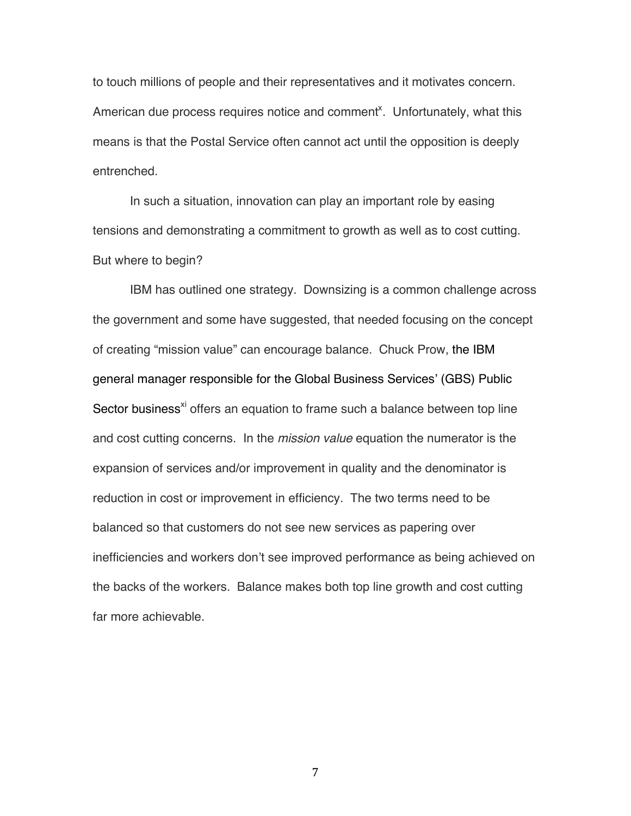to touch millions of people and their representatives and it motivates concern. American due process requires notice and comment<sup>x</sup>. Unfortunately, what this means is that the Postal Service often cannot act until the opposition is deeply entrenched.

In such a situation, innovation can play an important role by easing tensions and demonstrating a commitment to growth as well as to cost cutting. But where to begin?

IBM has outlined one strategy. Downsizing is a common challenge across the government and some have suggested, that needed focusing on the concept of creating "mission value" can encourage balance. Chuck Prow, the IBM general manager responsible for the Global Business Services' (GBS) Public Sector business<sup>xi</sup> offers an equation to frame such a balance between top line and cost cutting concerns. In the *mission value* equation the numerator is the expansion of services and/or improvement in quality and the denominator is reduction in cost or improvement in efficiency. The two terms need to be balanced so that customers do not see new services as papering over inefficiencies and workers don't see improved performance as being achieved on the backs of the workers. Balance makes both top line growth and cost cutting far more achievable.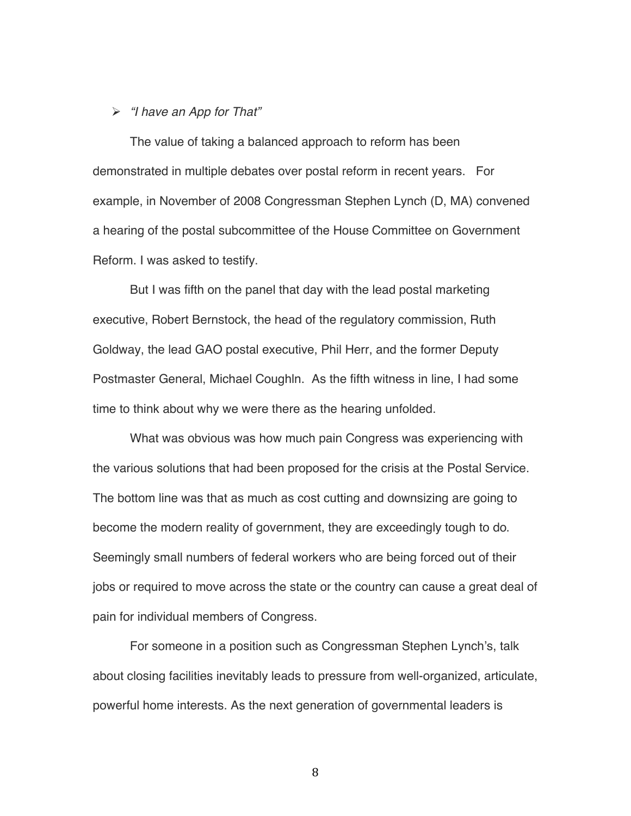#### *"I have an App for That"*

The value of taking a balanced approach to reform has been demonstrated in multiple debates over postal reform in recent years. For example, in November of 2008 Congressman Stephen Lynch (D, MA) convened a hearing of the postal subcommittee of the House Committee on Government Reform. I was asked to testify.

But I was fifth on the panel that day with the lead postal marketing executive, Robert Bernstock, the head of the regulatory commission, Ruth Goldway, the lead GAO postal executive, Phil Herr, and the former Deputy Postmaster General, Michael Coughln. As the fifth witness in line, I had some time to think about why we were there as the hearing unfolded.

What was obvious was how much pain Congress was experiencing with the various solutions that had been proposed for the crisis at the Postal Service. The bottom line was that as much as cost cutting and downsizing are going to become the modern reality of government, they are exceedingly tough to do. Seemingly small numbers of federal workers who are being forced out of their jobs or required to move across the state or the country can cause a great deal of pain for individual members of Congress.

For someone in a position such as Congressman Stephen Lynch's, talk about closing facilities inevitably leads to pressure from well-organized, articulate, powerful home interests. As the next generation of governmental leaders is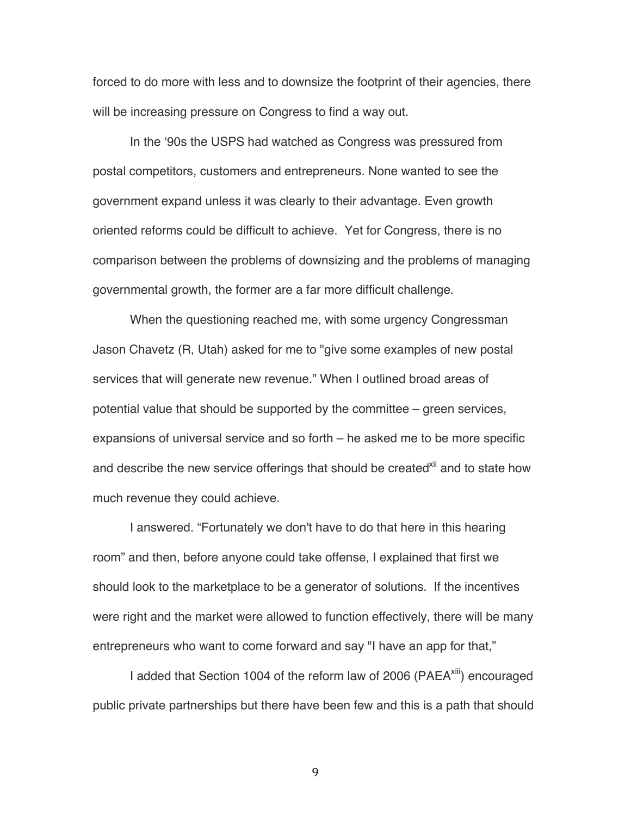forced to do more with less and to downsize the footprint of their agencies, there will be increasing pressure on Congress to find a way out.

In the ʻ90s the USPS had watched as Congress was pressured from postal competitors, customers and entrepreneurs. None wanted to see the government expand unless it was clearly to their advantage. Even growth oriented reforms could be difficult to achieve. Yet for Congress, there is no comparison between the problems of downsizing and the problems of managing governmental growth, the former are a far more difficult challenge.

When the questioning reached me, with some urgency Congressman Jason Chavetz (R, Utah) asked for me to "give some examples of new postal services that will generate new revenue." When I outlined broad areas of potential value that should be supported by the committee – green services, expansions of universal service and so forth – he asked me to be more specific and describe the new service offerings that should be created<sup>xii</sup> and to state how much revenue they could achieve.

I answered. "Fortunately we don't have to do that here in this hearing room" and then, before anyone could take offense, I explained that first we should look to the marketplace to be a generator of solutions. If the incentives were right and the market were allowed to function effectively, there will be many entrepreneurs who want to come forward and say "I have an app for that,"

I added that Section 1004 of the reform law of 2006 (PAEA<sup>xiii</sup>) encouraged public private partnerships but there have been few and this is a path that should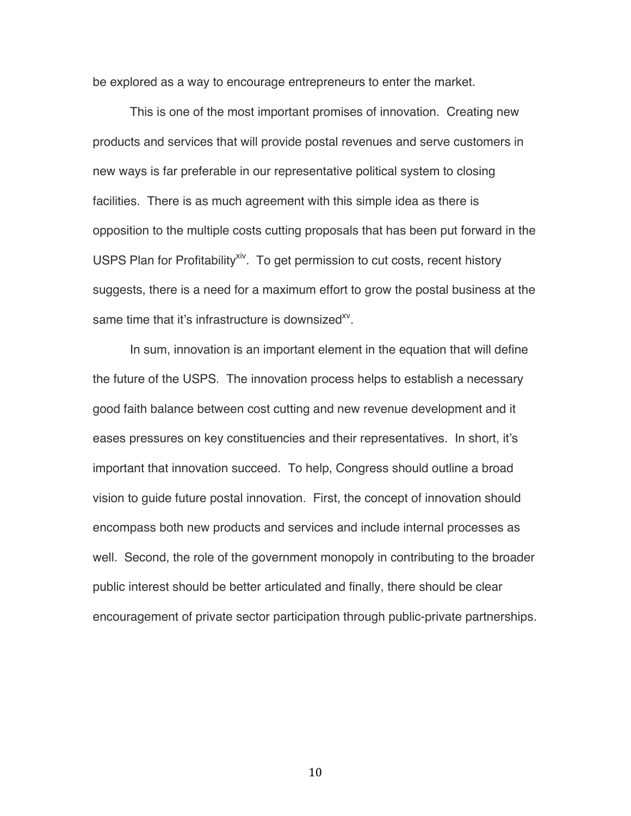be explored as a way to encourage entrepreneurs to enter the market.

This is one of the most important promises of innovation. Creating new products and services that will provide postal revenues and serve customers in new ways is far preferable in our representative political system to closing facilities. There is as much agreement with this simple idea as there is opposition to the multiple costs cutting proposals that has been put forward in the USPS Plan for Profitability<sup>xiv</sup>. To get permission to cut costs, recent history suggests, there is a need for a maximum effort to grow the postal business at the same time that it's infrastructure is downsized<sup>xy</sup>.

In sum, innovation is an important element in the equation that will define the future of the USPS. The innovation process helps to establish a necessary good faith balance between cost cutting and new revenue development and it eases pressures on key constituencies and their representatives. In short, it's important that innovation succeed. To help, Congress should outline a broad vision to guide future postal innovation. First, the concept of innovation should encompass both new products and services and include internal processes as well. Second, the role of the government monopoly in contributing to the broader public interest should be better articulated and finally, there should be clear encouragement of private sector participation through public-private partnerships.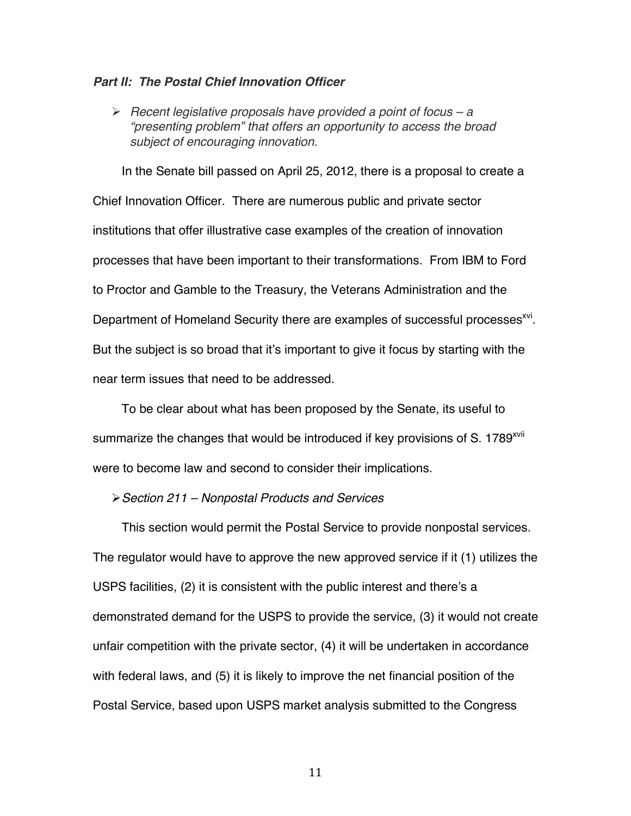#### *Part II: The Postal Chief Innovation Officer*

 *Recent legislative proposals have provided a point of focus – a "presenting problem" that offers an opportunity to access the broad subject of encouraging innovation.*

In the Senate bill passed on April 25, 2012, there is a proposal to create a Chief Innovation Officer. There are numerous public and private sector institutions that offer illustrative case examples of the creation of innovation processes that have been important to their transformations. From IBM to Ford to Proctor and Gamble to the Treasury, the Veterans Administration and the Department of Homeland Security there are examples of successful processes<sup>xvi</sup>. But the subject is so broad that it's important to give it focus by starting with the near term issues that need to be addressed.

To be clear about what has been proposed by the Senate, its useful to summarize the changes that would be introduced if key provisions of S. 1789<sup>xvii</sup> were to become law and second to consider their implications.

#### *Section 211 – Nonpostal Products and Services*

This section would permit the Postal Service to provide nonpostal services. The regulator would have to approve the new approved service if it (1) utilizes the USPS facilities, (2) it is consistent with the public interest and there's a demonstrated demand for the USPS to provide the service, (3) it would not create unfair competition with the private sector, (4) it will be undertaken in accordance with federal laws, and (5) it is likely to improve the net financial position of the Postal Service, based upon USPS market analysis submitted to the Congress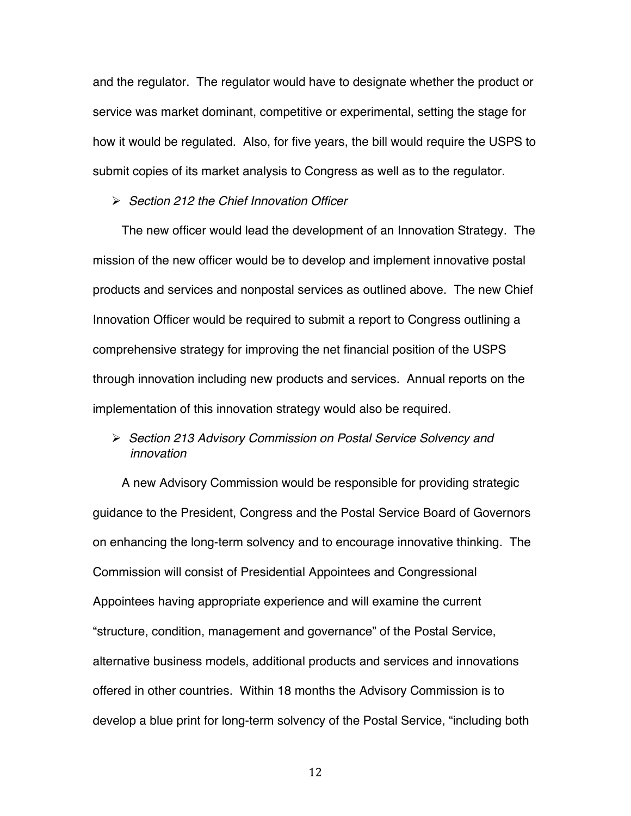and the regulator. The regulator would have to designate whether the product or service was market dominant, competitive or experimental, setting the stage for how it would be regulated. Also, for five years, the bill would require the USPS to submit copies of its market analysis to Congress as well as to the regulator.

 *Section 212 the Chief Innovation Officer*

The new officer would lead the development of an Innovation Strategy. The mission of the new officer would be to develop and implement innovative postal products and services and nonpostal services as outlined above. The new Chief Innovation Officer would be required to submit a report to Congress outlining a comprehensive strategy for improving the net financial position of the USPS through innovation including new products and services. Annual reports on the implementation of this innovation strategy would also be required.

### *Section 213 Advisory Commission on Postal Service Solvency and innovation*

A new Advisory Commission would be responsible for providing strategic guidance to the President, Congress and the Postal Service Board of Governors on enhancing the long-term solvency and to encourage innovative thinking. The Commission will consist of Presidential Appointees and Congressional Appointees having appropriate experience and will examine the current "structure, condition, management and governance" of the Postal Service, alternative business models, additional products and services and innovations offered in other countries. Within 18 months the Advisory Commission is to develop a blue print for long-term solvency of the Postal Service, "including both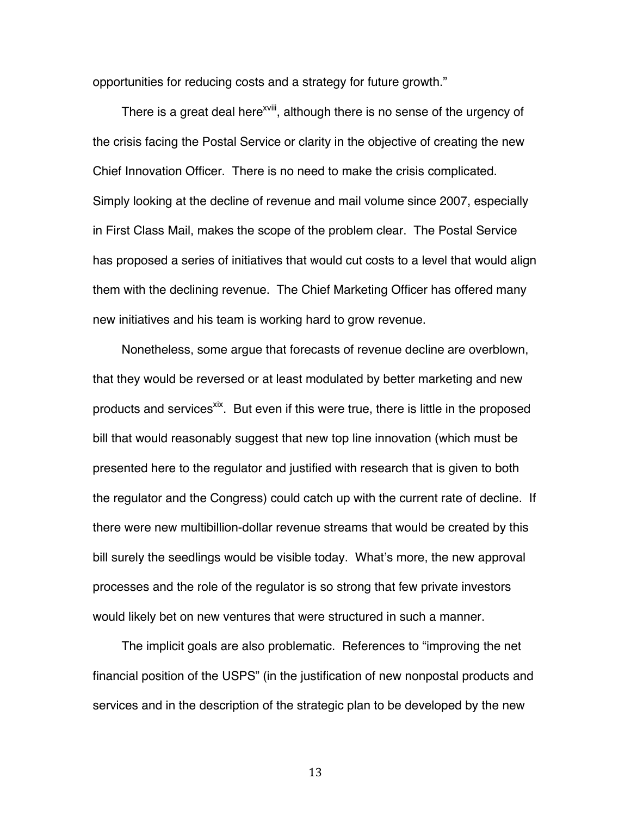opportunities for reducing costs and a strategy for future growth."

There is a great deal here<sup>xviii</sup>, although there is no sense of the urgency of the crisis facing the Postal Service or clarity in the objective of creating the new Chief Innovation Officer. There is no need to make the crisis complicated. Simply looking at the decline of revenue and mail volume since 2007, especially in First Class Mail, makes the scope of the problem clear. The Postal Service has proposed a series of initiatives that would cut costs to a level that would align them with the declining revenue. The Chief Marketing Officer has offered many new initiatives and his team is working hard to grow revenue.

Nonetheless, some argue that forecasts of revenue decline are overblown, that they would be reversed or at least modulated by better marketing and new products and services<sup>xix</sup>. But even if this were true, there is little in the proposed bill that would reasonably suggest that new top line innovation (which must be presented here to the regulator and justified with research that is given to both the regulator and the Congress) could catch up with the current rate of decline. If there were new multibillion-dollar revenue streams that would be created by this bill surely the seedlings would be visible today. What's more, the new approval processes and the role of the regulator is so strong that few private investors would likely bet on new ventures that were structured in such a manner.

The implicit goals are also problematic. References to "improving the net financial position of the USPS" (in the justification of new nonpostal products and services and in the description of the strategic plan to be developed by the new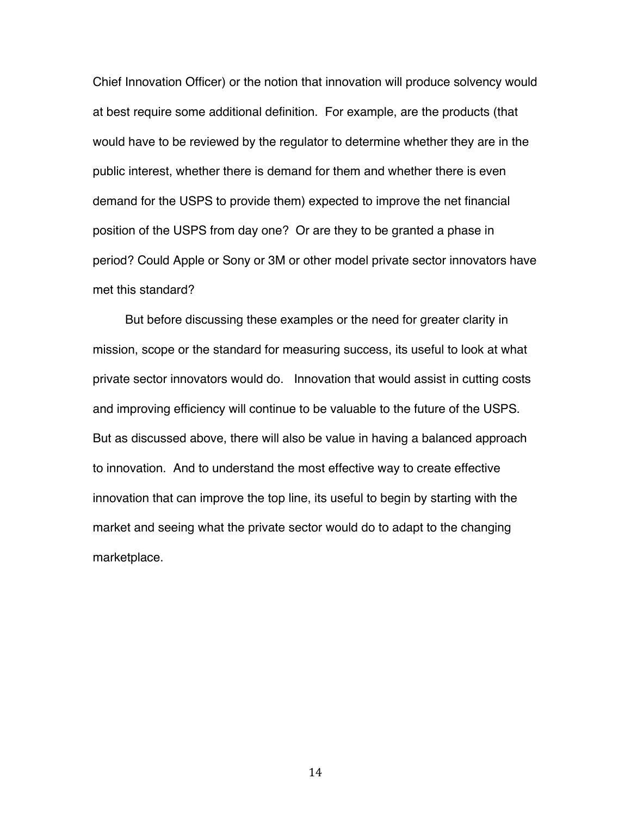Chief Innovation Officer) or the notion that innovation will produce solvency would at best require some additional definition. For example, are the products (that would have to be reviewed by the regulator to determine whether they are in the public interest, whether there is demand for them and whether there is even demand for the USPS to provide them) expected to improve the net financial position of the USPS from day one? Or are they to be granted a phase in period? Could Apple or Sony or 3M or other model private sector innovators have met this standard?

 But before discussing these examples or the need for greater clarity in mission, scope or the standard for measuring success, its useful to look at what private sector innovators would do. Innovation that would assist in cutting costs and improving efficiency will continue to be valuable to the future of the USPS. But as discussed above, there will also be value in having a balanced approach to innovation. And to understand the most effective way to create effective innovation that can improve the top line, its useful to begin by starting with the market and seeing what the private sector would do to adapt to the changing marketplace.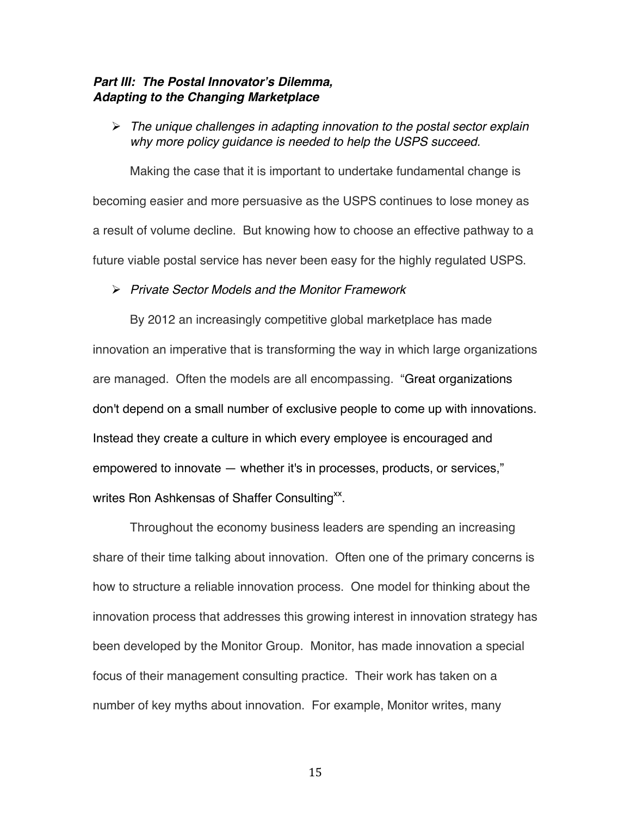### *Part III: The Postal Innovator***'***s Dilemma, Adapting to the Changing Marketplace*

 *The unique challenges in adapting innovation to the postal sector explain why more policy guidance is needed to help the USPS succeed.*

Making the case that it is important to undertake fundamental change is becoming easier and more persuasive as the USPS continues to lose money as a result of volume decline. But knowing how to choose an effective pathway to a future viable postal service has never been easy for the highly regulated USPS.

### *Private Sector Models and the Monitor Framework*

By 2012 an increasingly competitive global marketplace has made innovation an imperative that is transforming the way in which large organizations are managed. Often the models are all encompassing. "Great organizations don't depend on a small number of exclusive people to come up with innovations. Instead they create a culture in which every employee is encouraged and empowered to innovate — whether it's in processes, products, or services," writes Ron Ashkensas of Shaffer Consulting<sup>xx</sup>.

Throughout the economy business leaders are spending an increasing share of their time talking about innovation. Often one of the primary concerns is how to structure a reliable innovation process. One model for thinking about the innovation process that addresses this growing interest in innovation strategy has been developed by the Monitor Group. Monitor, has made innovation a special focus of their management consulting practice. Their work has taken on a number of key myths about innovation. For example, Monitor writes, many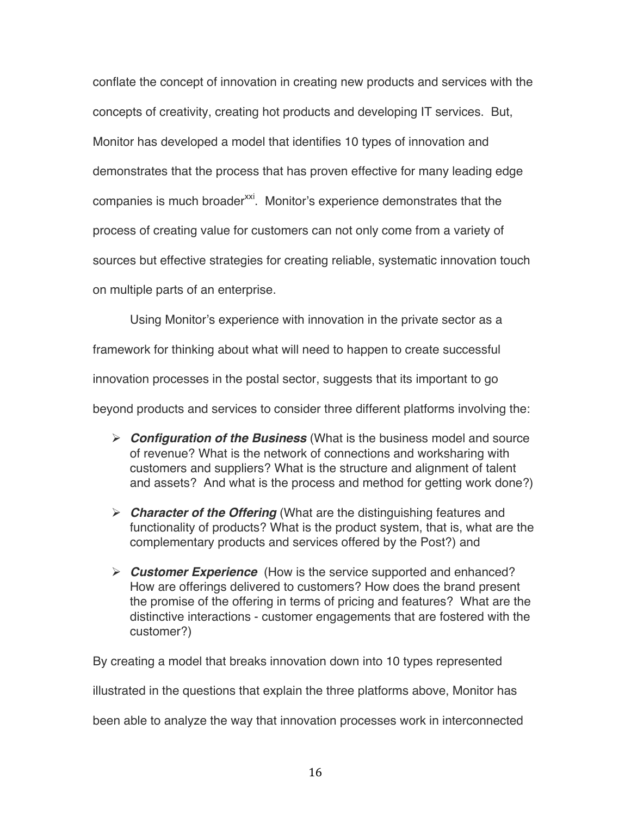conflate the concept of innovation in creating new products and services with the concepts of creativity, creating hot products and developing IT services. But, Monitor has developed a model that identifies 10 types of innovation and demonstrates that the process that has proven effective for many leading edge companies is much broader<sup>xxi</sup>. Monitor's experience demonstrates that the process of creating value for customers can not only come from a variety of sources but effective strategies for creating reliable, systematic innovation touch on multiple parts of an enterprise.

Using Monitor's experience with innovation in the private sector as a

framework for thinking about what will need to happen to create successful

innovation processes in the postal sector, suggests that its important to go

beyond products and services to consider three different platforms involving the:

- *Configuration of the Business* (What is the business model and source of revenue? What is the network of connections and worksharing with customers and suppliers? What is the structure and alignment of talent and assets? And what is the process and method for getting work done?)
- *Character of the Offering* (What are the distinguishing features and functionality of products? What is the product system, that is, what are the complementary products and services offered by the Post?) and
- *Customer Experience* (How is the service supported and enhanced? How are offerings delivered to customers? How does the brand present the promise of the offering in terms of pricing and features? What are the distinctive interactions - customer engagements that are fostered with the customer?)

By creating a model that breaks innovation down into 10 types represented

illustrated in the questions that explain the three platforms above, Monitor has

been able to analyze the way that innovation processes work in interconnected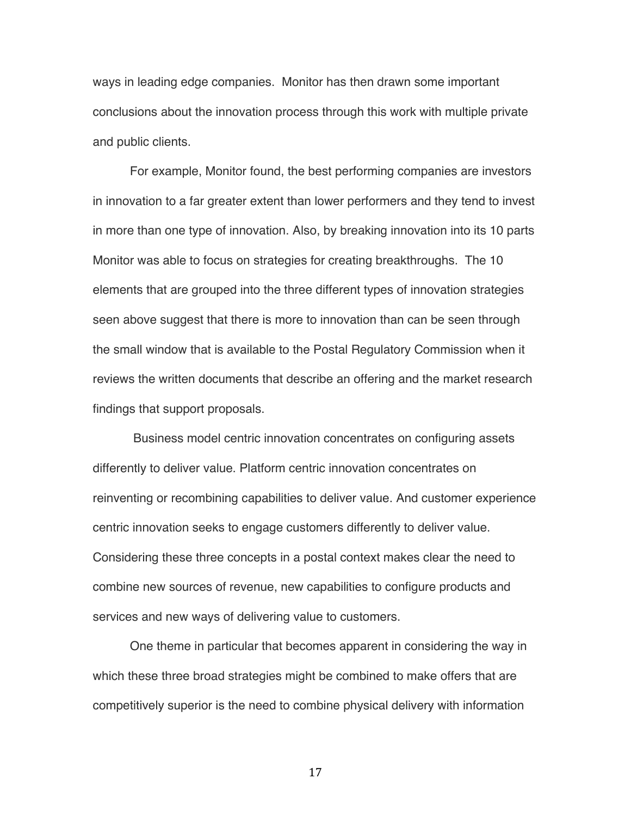ways in leading edge companies. Monitor has then drawn some important conclusions about the innovation process through this work with multiple private and public clients.

For example, Monitor found, the best performing companies are investors in innovation to a far greater extent than lower performers and they tend to invest in more than one type of innovation. Also, by breaking innovation into its 10 parts Monitor was able to focus on strategies for creating breakthroughs. The 10 elements that are grouped into the three different types of innovation strategies seen above suggest that there is more to innovation than can be seen through the small window that is available to the Postal Regulatory Commission when it reviews the written documents that describe an offering and the market research findings that support proposals.

 Business model centric innovation concentrates on configuring assets differently to deliver value. Platform centric innovation concentrates on reinventing or recombining capabilities to deliver value. And customer experience centric innovation seeks to engage customers differently to deliver value. Considering these three concepts in a postal context makes clear the need to combine new sources of revenue, new capabilities to configure products and services and new ways of delivering value to customers.

One theme in particular that becomes apparent in considering the way in which these three broad strategies might be combined to make offers that are competitively superior is the need to combine physical delivery with information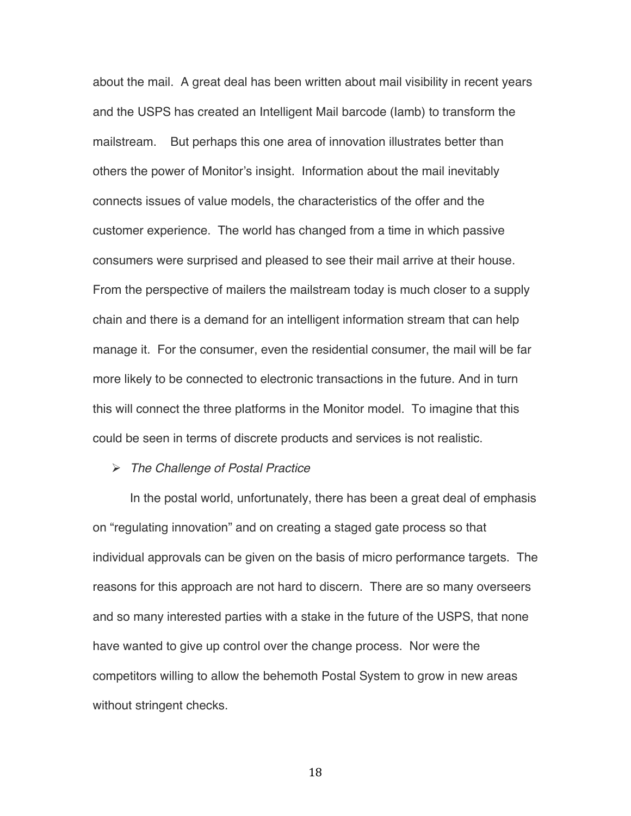about the mail. A great deal has been written about mail visibility in recent years and the USPS has created an Intelligent Mail barcode (Iamb) to transform the mailstream. But perhaps this one area of innovation illustrates better than others the power of Monitor's insight. Information about the mail inevitably connects issues of value models, the characteristics of the offer and the customer experience. The world has changed from a time in which passive consumers were surprised and pleased to see their mail arrive at their house. From the perspective of mailers the mailstream today is much closer to a supply chain and there is a demand for an intelligent information stream that can help manage it. For the consumer, even the residential consumer, the mail will be far more likely to be connected to electronic transactions in the future. And in turn this will connect the three platforms in the Monitor model. To imagine that this could be seen in terms of discrete products and services is not realistic.

#### *The Challenge of Postal Practice*

In the postal world, unfortunately, there has been a great deal of emphasis on "regulating innovation" and on creating a staged gate process so that individual approvals can be given on the basis of micro performance targets. The reasons for this approach are not hard to discern. There are so many overseers and so many interested parties with a stake in the future of the USPS, that none have wanted to give up control over the change process. Nor were the competitors willing to allow the behemoth Postal System to grow in new areas without stringent checks.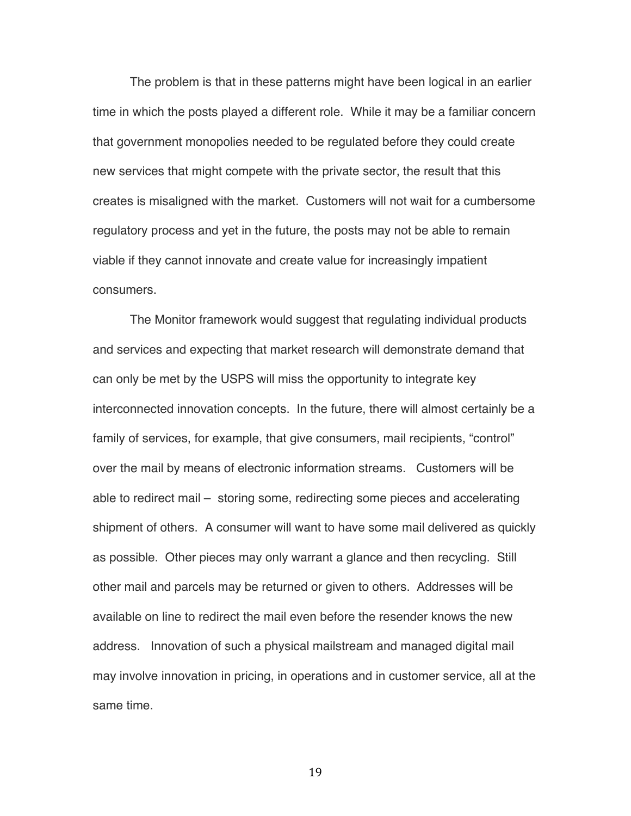The problem is that in these patterns might have been logical in an earlier time in which the posts played a different role. While it may be a familiar concern that government monopolies needed to be regulated before they could create new services that might compete with the private sector, the result that this creates is misaligned with the market. Customers will not wait for a cumbersome regulatory process and yet in the future, the posts may not be able to remain viable if they cannot innovate and create value for increasingly impatient consumers.

The Monitor framework would suggest that regulating individual products and services and expecting that market research will demonstrate demand that can only be met by the USPS will miss the opportunity to integrate key interconnected innovation concepts. In the future, there will almost certainly be a family of services, for example, that give consumers, mail recipients, "control" over the mail by means of electronic information streams. Customers will be able to redirect mail – storing some, redirecting some pieces and accelerating shipment of others. A consumer will want to have some mail delivered as quickly as possible. Other pieces may only warrant a glance and then recycling. Still other mail and parcels may be returned or given to others. Addresses will be available on line to redirect the mail even before the resender knows the new address. Innovation of such a physical mailstream and managed digital mail may involve innovation in pricing, in operations and in customer service, all at the same time.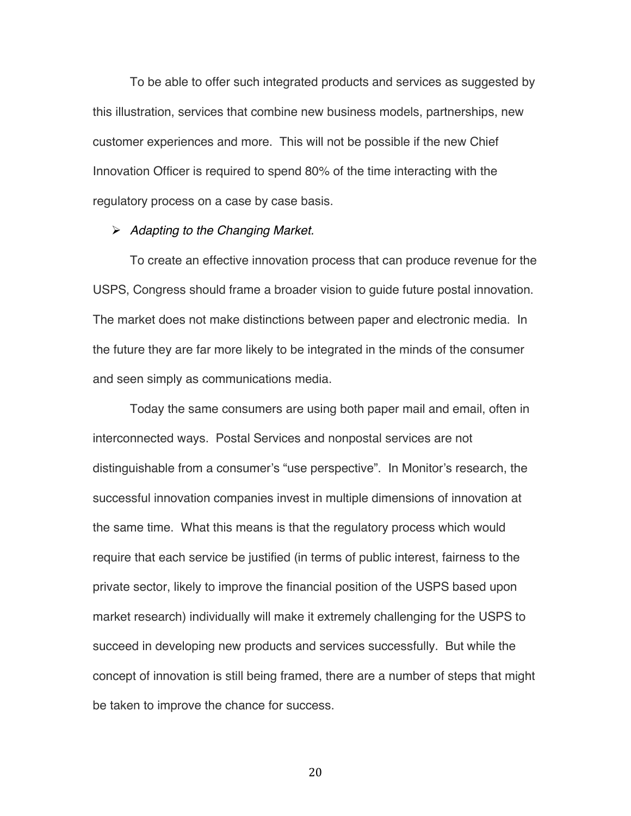To be able to offer such integrated products and services as suggested by this illustration, services that combine new business models, partnerships, new customer experiences and more. This will not be possible if the new Chief Innovation Officer is required to spend 80% of the time interacting with the regulatory process on a case by case basis.

#### *Adapting to the Changing Market.*

To create an effective innovation process that can produce revenue for the USPS, Congress should frame a broader vision to guide future postal innovation. The market does not make distinctions between paper and electronic media. In the future they are far more likely to be integrated in the minds of the consumer and seen simply as communications media.

Today the same consumers are using both paper mail and email, often in interconnected ways. Postal Services and nonpostal services are not distinguishable from a consumer's "use perspective". In Monitor's research, the successful innovation companies invest in multiple dimensions of innovation at the same time. What this means is that the regulatory process which would require that each service be justified (in terms of public interest, fairness to the private sector, likely to improve the financial position of the USPS based upon market research) individually will make it extremely challenging for the USPS to succeed in developing new products and services successfully. But while the concept of innovation is still being framed, there are a number of steps that might be taken to improve the chance for success.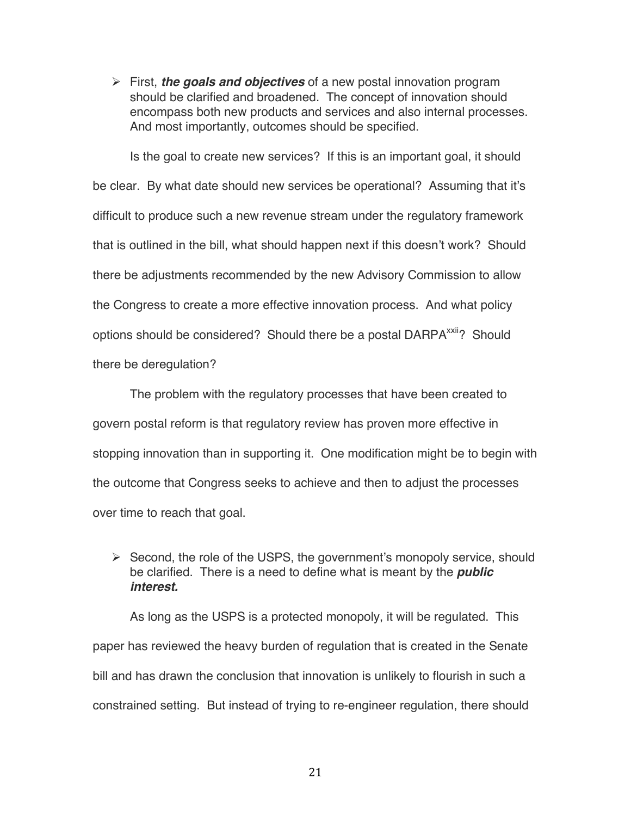$\triangleright$  First, *the goals and objectives* of a new postal innovation program should be clarified and broadened. The concept of innovation should encompass both new products and services and also internal processes. And most importantly, outcomes should be specified.

Is the goal to create new services? If this is an important goal, it should be clear. By what date should new services be operational? Assuming that it's difficult to produce such a new revenue stream under the regulatory framework that is outlined in the bill, what should happen next if this doesn't work? Should there be adjustments recommended by the new Advisory Commission to allow the Congress to create a more effective innovation process. And what policy options should be considered? Should there be a postal DARPA<sup>xxii</sup>? Should there be deregulation?

The problem with the regulatory processes that have been created to govern postal reform is that regulatory review has proven more effective in stopping innovation than in supporting it. One modification might be to begin with the outcome that Congress seeks to achieve and then to adjust the processes over time to reach that goal.

## $\triangleright$  Second, the role of the USPS, the government's monopoly service, should be clarified. There is a need to define what is meant by the *public interest.*

As long as the USPS is a protected monopoly, it will be regulated. This paper has reviewed the heavy burden of regulation that is created in the Senate bill and has drawn the conclusion that innovation is unlikely to flourish in such a constrained setting. But instead of trying to re-engineer regulation, there should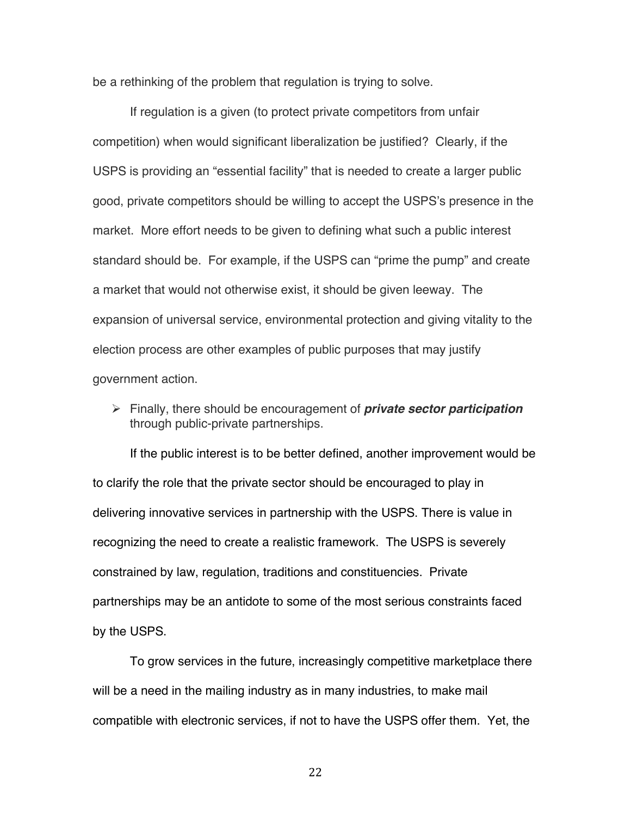be a rethinking of the problem that regulation is trying to solve.

If regulation is a given (to protect private competitors from unfair competition) when would significant liberalization be justified? Clearly, if the USPS is providing an "essential facility" that is needed to create a larger public good, private competitors should be willing to accept the USPS's presence in the market. More effort needs to be given to defining what such a public interest standard should be. For example, if the USPS can "prime the pump" and create a market that would not otherwise exist, it should be given leeway. The expansion of universal service, environmental protection and giving vitality to the election process are other examples of public purposes that may justify government action.

 Finally, there should be encouragement of *private sector participation* through public-private partnerships.

If the public interest is to be better defined, another improvement would be to clarify the role that the private sector should be encouraged to play in delivering innovative services in partnership with the USPS. There is value in recognizing the need to create a realistic framework. The USPS is severely constrained by law, regulation, traditions and constituencies. Private partnerships may be an antidote to some of the most serious constraints faced by the USPS.

To grow services in the future, increasingly competitive marketplace there will be a need in the mailing industry as in many industries, to make mail compatible with electronic services, if not to have the USPS offer them. Yet, the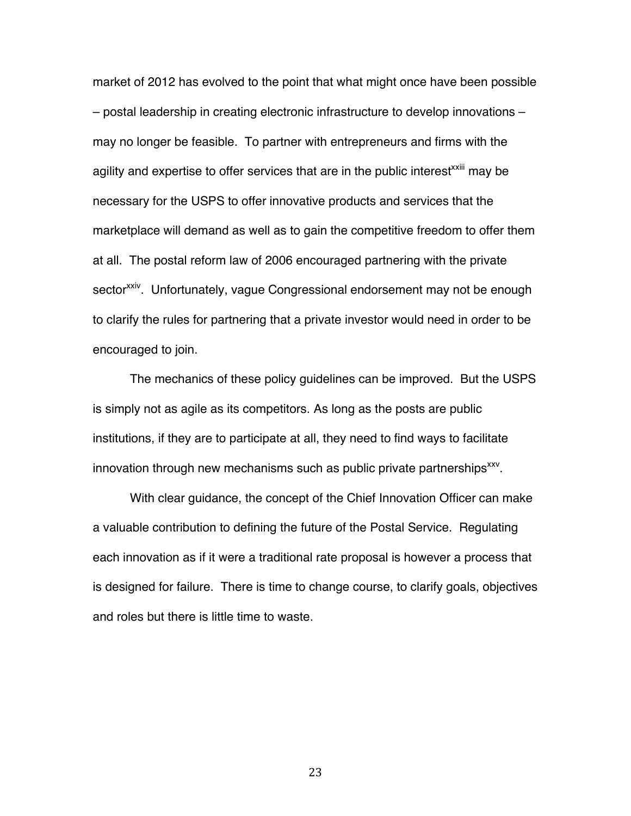market of 2012 has evolved to the point that what might once have been possible – postal leadership in creating electronic infrastructure to develop innovations – may no longer be feasible. To partner with entrepreneurs and firms with the agility and expertise to offer services that are in the public interest<sup>xxiii</sup> may be necessary for the USPS to offer innovative products and services that the marketplace will demand as well as to gain the competitive freedom to offer them at all. The postal reform law of 2006 encouraged partnering with the private sector<sup>xxiv</sup>. Unfortunately, vague Congressional endorsement may not be enough to clarify the rules for partnering that a private investor would need in order to be encouraged to join.

The mechanics of these policy guidelines can be improved. But the USPS is simply not as agile as its competitors. As long as the posts are public institutions, if they are to participate at all, they need to find ways to facilitate innovation through new mechanisms such as public private partnerships $x^{xx}$ .

With clear guidance, the concept of the Chief Innovation Officer can make a valuable contribution to defining the future of the Postal Service. Regulating each innovation as if it were a traditional rate proposal is however a process that is designed for failure. There is time to change course, to clarify goals, objectives and roles but there is little time to waste.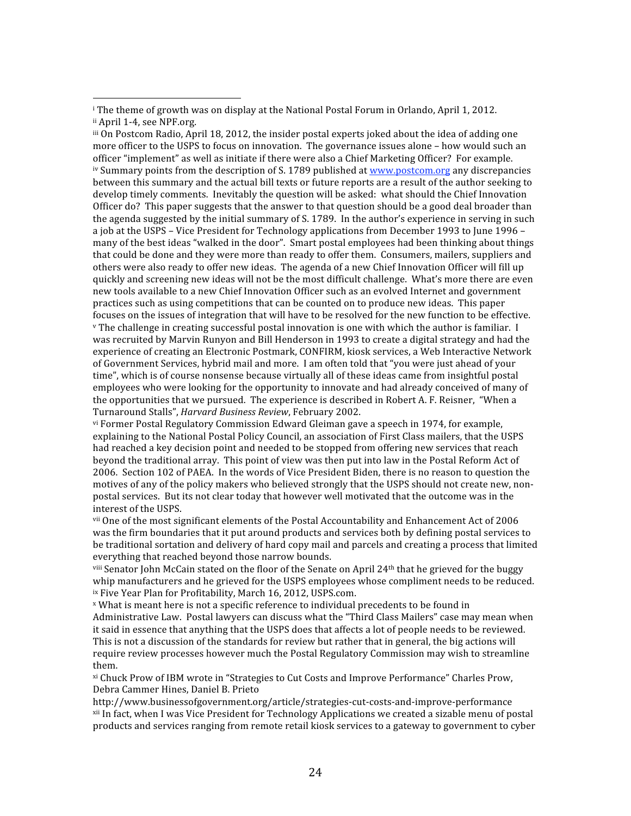<sup>iii</sup> On Postcom Radio, April 18, 2012, the insider postal experts joked about the idea of adding one more officer to the USPS to focus on innovation. The governance issues alone - how would such an officer
"implement"
as
well
as
initiate
if
there
were
also
a
Chief
Marketing
Officer?

For
example. <sup>iv</sup> Summary points from the description of S. 1789 published at **www.postcom.org** any discrepancies between this summary and the actual bill texts or future reports are a result of the author seeking to develop timely comments. Inevitably the question will be asked: what should the Chief Innovation Officer do? This paper suggests that the answer to that question should be a good deal broader than the agenda suggested by the initial summary of S. 1789. In the author's experience in serving in such a job at the USPS – Vice President for Technology applications from December 1993 to June 1996 – many of the best ideas "walked in the door". Smart postal employees had been thinking about things that could be done and they were more than ready to offer them. Consumers, mailers, suppliers and others were also ready to offer new ideas. The agenda of a new Chief Innovation Officer will fill up quickly and screening new ideas will not be the most difficult challenge. What's more there are even new
tools
available
to
a
new
Chief
Innovation
Officer
such
as
an
evolved
Internet
and
government practices
such
as
using
competitions
that
can
be
counted
on
to
produce
new
ideas.

This
paper focuses on the issues of integration that will have to be resolved for the new function to be effective. <sup>v</sup> The challenge in creating successful postal innovation is one with which the author is familiar. I was recruited by Marvin Runyon and Bill Henderson in 1993 to create a digital strategy and had the experience of creating an Electronic Postmark, CONFIRM, kiosk services, a Web Interactive Network of
Government
Services,
hybrid
mail
and
more.

I
am
often
told
that
"you
were
just
ahead
of
your time", which is of course nonsense because virtually all of these ideas came from insightful postal employees who were looking for the opportunity to innovate and had already conceived of many of the opportunities that we pursued. The experience is described in Robert A. F. Reisner. "When a Turnaround
Stalls", *Harvard
Business
Review*,
February
2002.

vi Former Postal Regulatory Commission Edward Gleiman gave a speech in 1974, for example, explaining to the National Postal Policy Council, an association of First Class mailers, that the USPS had reached a key decision point and needed to be stopped from offering new services that reach beyond the traditional array. This point of view was then put into law in the Postal Reform Act of 2006. Section 102 of PAEA. In the words of Vice President Biden, there is no reason to question the motives of any of the policy makers who believed strongly that the USPS should not create new, nonpostal services. But its not clear today that however well motivated that the outcome was in the interest
of
the
USPS.

vii One of the most significant elements of the Postal Accountability and Enhancement Act of 2006 was the firm boundaries that it put around products and services both by defining postal services to be traditional sortation and delivery of hard copy mail and parcels and creating a process that limited everything
that
reached
beyond
those
narrow
bounds.

viii Senator John McCain stated on the floor of the Senate on April 24<sup>th</sup> that he grieved for the buggy whip manufacturers and he grieved for the USPS employees whose compliment needs to be reduced. <sup>ix</sup> Five Year Plan for Profitability, March 16, 2012, USPS.com.

<sup>x</sup> What is meant here is not a specific reference to individual precedents to be found in Administrative Law. Postal lawyers can discuss what the "Third Class Mailers" case may mean when it said in essence that anything that the USPS does that affects a lot of people needs to be reviewed. This is not a discussion of the standards for review but rather that in general, the big actions will require review processes however much the Postal Regulatory Commission may wish to streamline them.

xi Chuck Prow of IBM wrote in "Strategies to Cut Costs and Improve Performance" Charles Prow, Debra
Cammer
Hines,
Daniel
B.
Prieto

http://www.businessofgovernment.org/article/strategies‐cut‐costs‐and‐improve‐performance xii
In
fact,
when
I
was
Vice
President
for
Technology
Applications
we
created
a
sizable
menu
of
postal products
and
services
ranging
from
remote
retail
kiosk
services
to
a
gateway
to
government
to
cyber

<sup>&</sup>lt;sup>i</sup> The theme of growth was on display at the National Postal Forum in Orlando, April 1, 2012. ii April 1-4, see NPF.org.